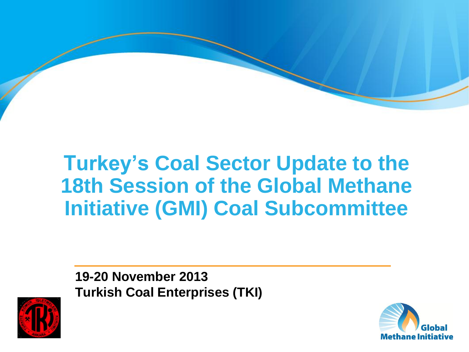### **Turkey's Coal Sector Update to the 18th Session of the Global Methane Initiative (GMI) Coal Subcommittee**

**19-20 November 2013 Turkish Coal Enterprises (TKI)**



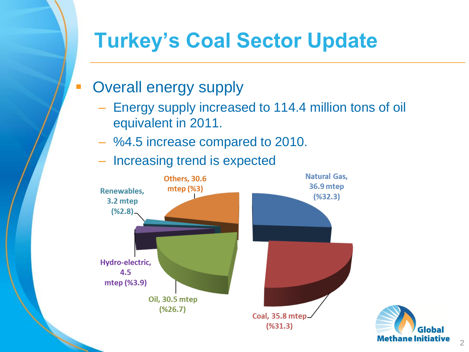- **Overall energy supply** 
	- Energy supply increased to 114.4 million tons of oil equivalent in 2011.
	- %4.5 increase compared to 2010.
	- Increasing trend is expected



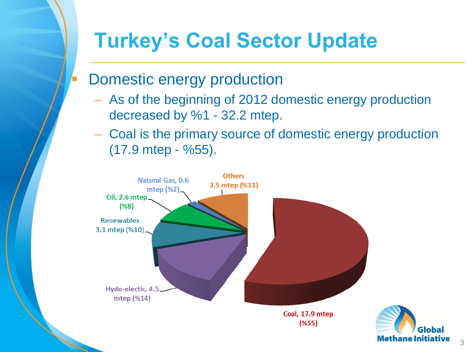- Domestic energy production
	- As of the beginning of 2012 domestic energy production decreased by %1 - 32.2 mtep.
	- Coal is the primary source of domestic energy production (17.9 mtep - %55).



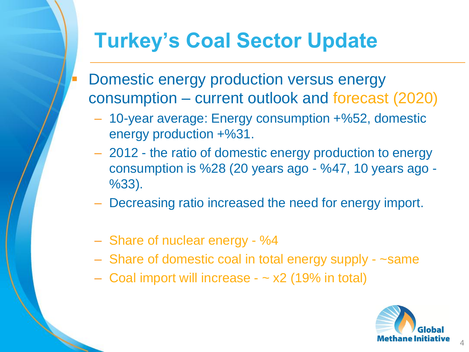- Domestic energy production versus energy consumption – current outlook and forecast (2020)
	- 10-year average: Energy consumption +%52, domestic energy production +%31.
	- 2012 the ratio of domestic energy production to energy consumption is %28 (20 years ago - %47, 10 years ago - %33).
	- Decreasing ratio increased the need for energy import.
	- Share of nuclear energy %4
	- Share of domestic coal in total energy supply ~same
	- $-$  Coal import will increase  $\sim$  x2 (19% in total)

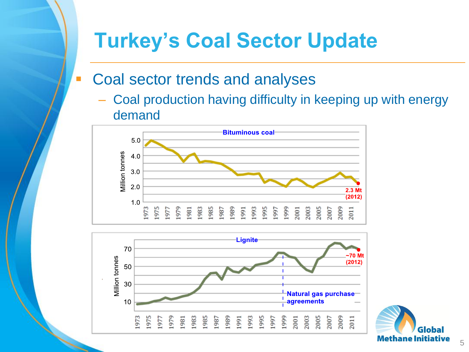- **Coal sector trends and analyses** 
	- Coal production having difficulty in keeping up with energy demand





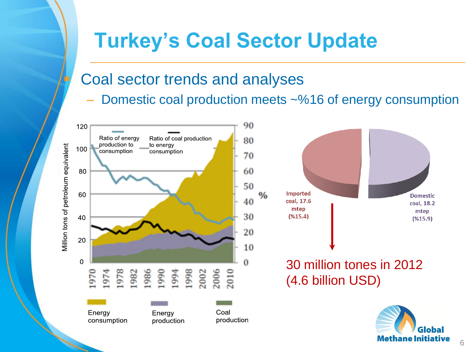### Coal sector trends and analyses

– Domestic coal production meets ~%16 of energy consumption

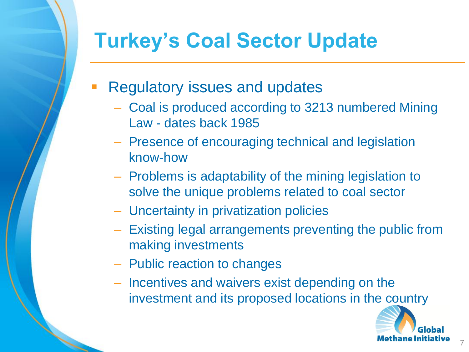- Regulatory issues and updates
	- Coal is produced according to 3213 numbered Mining Law - dates back 1985
	- Presence of encouraging technical and legislation know-how
	- Problems is adaptability of the mining legislation to solve the unique problems related to coal sector
	- Uncertainty in privatization policies
	- Existing legal arrangements preventing the public from making investments
	- Public reaction to changes
	- Incentives and waivers exist depending on the investment and its proposed locations in the country

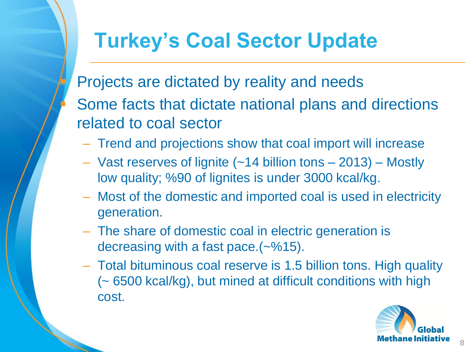Projects are dictated by reality and needs Some facts that dictate national plans and directions related to coal sector

- Trend and projections show that coal import will increase
- Vast reserves of lignite (~14 billion tons 2013) Mostly low quality; %90 of lignites is under 3000 kcal/kg.
- Most of the domestic and imported coal is used in electricity generation.
- The share of domestic coal in electric generation is decreasing with a fast pace.(~%15).
- Total bituminous coal reserve is 1.5 billion tons. High quality (~ 6500 kcal/kg), but mined at difficult conditions with high cost.

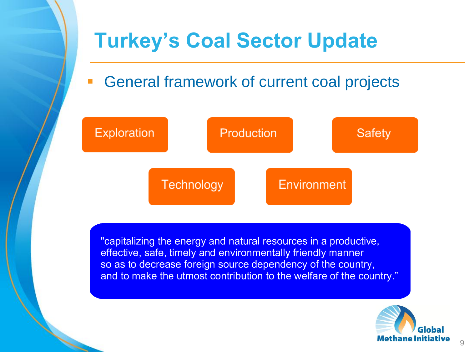### General framework of current coal projects



"capitalizing the energy and natural resources in a productive, effective, safe, timely and environmentally friendly manner so as to decrease foreign source dependency of the country, and to make the utmost contribution to the welfare of the country."

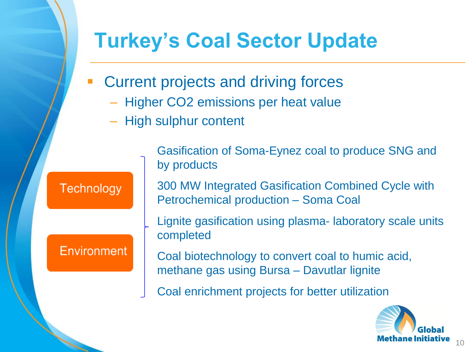- Current projects and driving forces
	- Higher CO2 emissions per heat value
	- High sulphur content

#### **Technology**

#### **Environment**

Gasification of Soma-Eynez coal to produce SNG and by products

300 MW Integrated Gasification Combined Cycle with Petrochemical production – Soma Coal

Lignite gasification using plasma- laboratory scale units completed

Coal biotechnology to convert coal to humic acid, methane gas using Bursa – Davutlar lignite

Coal enrichment projects for better utilization

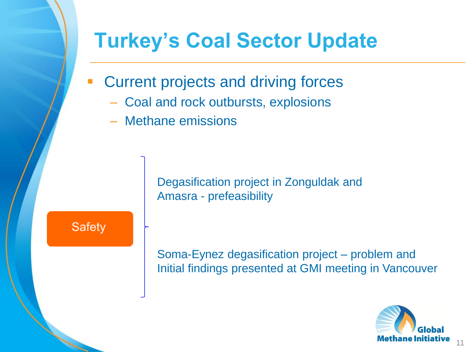- **EX Current projects and driving forces** 
	- Coal and rock outbursts, explosions
	- Methane emissions

Degasification project in Zonguldak and Amasra - prefeasibility

**Safety** 

Soma-Eynez degasification project – problem and Initial findings presented at GMI meeting in Vancouver

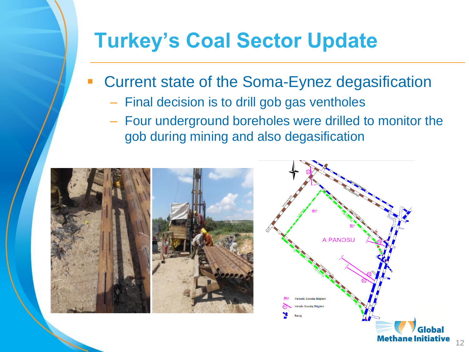- Current state of the Soma-Eynez degasification
	- Final decision is to drill gob gas ventholes
	- Four underground boreholes were drilled to monitor the gob during mining and also degasification

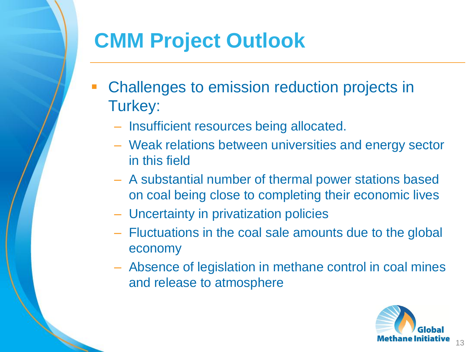# **CMM Project Outlook**

- Challenges to emission reduction projects in Turkey:
	- Insufficient resources being allocated.
	- Weak relations between universities and energy sector in this field
	- A substantial number of thermal power stations based on coal being close to completing their economic lives
	- Uncertainty in privatization policies
	- Fluctuations in the coal sale amounts due to the global economy
	- Absence of legislation in methane control in coal mines and release to atmosphere

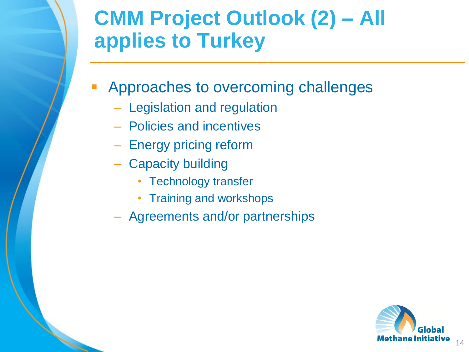### **CMM Project Outlook (2) – All applies to Turkey**

- Approaches to overcoming challenges
	- Legislation and regulation
	- Policies and incentives
	- Energy pricing reform
	- Capacity building
		- Technology transfer
		- Training and workshops
	- Agreements and/or partnerships

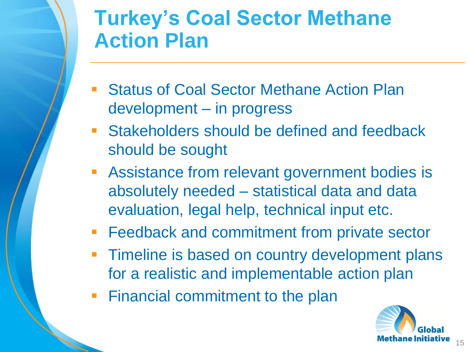### **Turkey's Coal Sector Methane Action Plan**

- Status of Coal Sector Methane Action Plan development – in progress
- **Stakeholders should be defined and feedback** should be sought
- **Assistance from relevant government bodies is** absolutely needed – statistical data and data evaluation, legal help, technical input etc.
- **Feedback and commitment from private sector**
- Timeline is based on country development plans for a realistic and implementable action plan
- **Financial commitment to the plan**